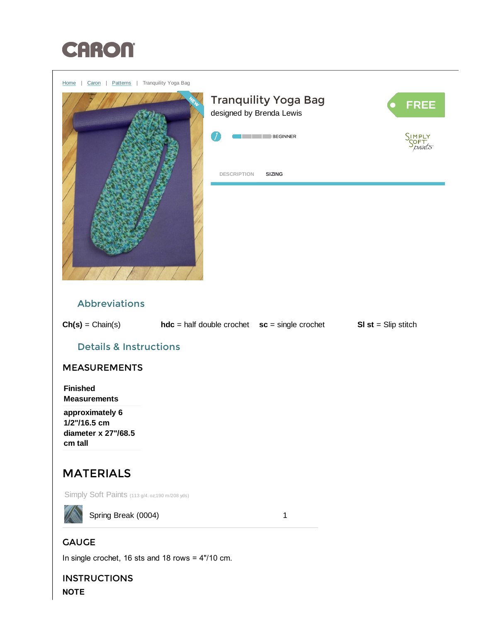

<span id="page-0-0"></span>

In single crochet, 16 sts and 18 rows = 4"/10 cm.

**INSTRUCTIONS** NOTE